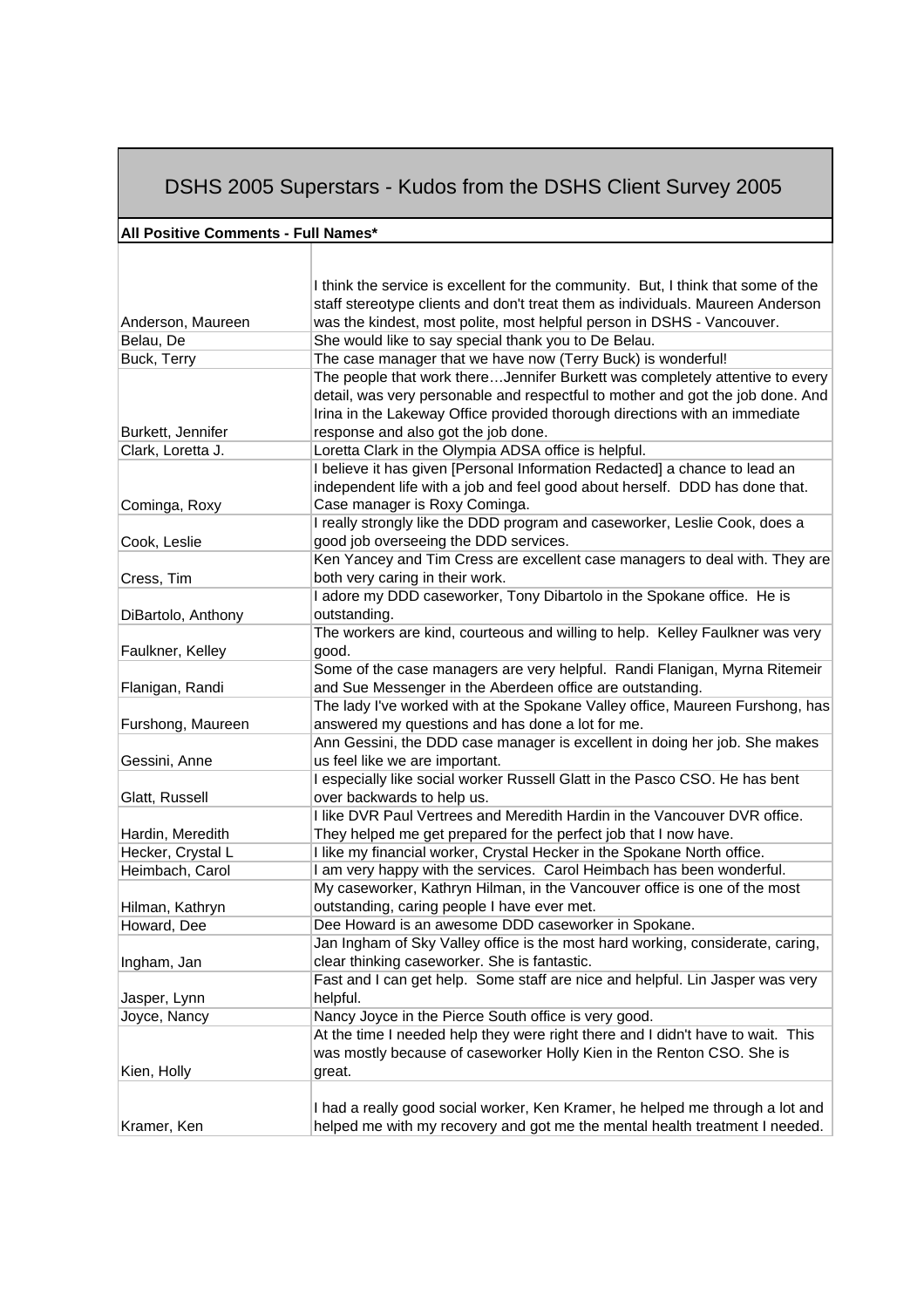## DSHS 2005 Superstars - Kudos from the DSHS Client Survey 2005

## **All Positive Comments - Full Names\***

|                                      | I think the service is excellent for the community. But, I think that some of the                                                           |
|--------------------------------------|---------------------------------------------------------------------------------------------------------------------------------------------|
|                                      | staff stereotype clients and don't treat them as individuals. Maureen Anderson                                                              |
| Anderson, Maureen                    | was the kindest, most polite, most helpful person in DSHS - Vancouver.                                                                      |
| Belau, De                            | She would like to say special thank you to De Belau.                                                                                        |
| Buck, Terry                          | The case manager that we have now (Terry Buck) is wonderful!                                                                                |
|                                      | The people that work thereJennifer Burkett was completely attentive to every                                                                |
|                                      | detail, was very personable and respectful to mother and got the job done. And                                                              |
| Burkett, Jennifer                    | Irina in the Lakeway Office provided thorough directions with an immediate<br>response and also got the job done.                           |
| Clark, Loretta J.                    | Loretta Clark in the Olympia ADSA office is helpful.                                                                                        |
|                                      | I believe it has given [Personal Information Redacted] a chance to lead an                                                                  |
|                                      | independent life with a job and feel good about herself. DDD has done that.                                                                 |
| Cominga, Roxy                        | Case manager is Roxy Cominga.                                                                                                               |
|                                      | I really strongly like the DDD program and caseworker, Leslie Cook, does a                                                                  |
| Cook, Leslie                         | good job overseeing the DDD services.                                                                                                       |
|                                      | Ken Yancey and Tim Cress are excellent case managers to deal with. They are                                                                 |
| Cress, Tim                           | both very caring in their work.                                                                                                             |
|                                      | I adore my DDD caseworker, Tony Dibartolo in the Spokane office. He is                                                                      |
| DiBartolo, Anthony                   | outstanding.                                                                                                                                |
| Faulkner, Kelley                     | The workers are kind, courteous and willing to help. Kelley Faulkner was very<br>good.                                                      |
|                                      | Some of the case managers are very helpful. Randi Flanigan, Myrna Ritemeir                                                                  |
| Flanigan, Randi                      | and Sue Messenger in the Aberdeen office are outstanding.                                                                                   |
|                                      | The lady I've worked with at the Spokane Valley office, Maureen Furshong, has                                                               |
| Furshong, Maureen                    | answered my questions and has done a lot for me.                                                                                            |
|                                      | Ann Gessini, the DDD case manager is excellent in doing her job. She makes                                                                  |
| Gessini, Anne                        | us feel like we are important.                                                                                                              |
|                                      | I especially like social worker Russell Glatt in the Pasco CSO. He has bent                                                                 |
| Glatt, Russell                       | over backwards to help us.                                                                                                                  |
|                                      | I like DVR Paul Vertrees and Meredith Hardin in the Vancouver DVR office.                                                                   |
| Hardin, Meredith                     | They helped me get prepared for the perfect job that I now have.<br>I like my financial worker, Crystal Hecker in the Spokane North office. |
| Hecker, Crystal L<br>Heimbach, Carol | I am very happy with the services. Carol Heimbach has been wonderful.                                                                       |
|                                      | My caseworker, Kathryn Hilman, in the Vancouver office is one of the most                                                                   |
| Hilman, Kathryn                      | outstanding, caring people I have ever met.                                                                                                 |
| Howard, Dee                          | Dee Howard is an awesome DDD caseworker in Spokane.                                                                                         |
|                                      | Jan Ingham of Sky Valley office is the most hard working, considerate, caring,                                                              |
| Ingham, Jan                          | clear thinking caseworker. She is fantastic.                                                                                                |
|                                      | Fast and I can get help. Some staff are nice and helpful. Lin Jasper was very                                                               |
| Jasper, Lynn                         | helpful.                                                                                                                                    |
| Joyce, Nancy                         | Nancy Joyce in the Pierce South office is very good.                                                                                        |
|                                      | At the time I needed help they were right there and I didn't have to wait. This                                                             |
| Kien, Holly                          | was mostly because of caseworker Holly Kien in the Renton CSO. She is<br>great.                                                             |
|                                      |                                                                                                                                             |
|                                      | I had a really good social worker, Ken Kramer, he helped me through a lot and                                                               |
| Kramer, Ken                          | helped me with my recovery and got me the mental health treatment I needed.                                                                 |
|                                      |                                                                                                                                             |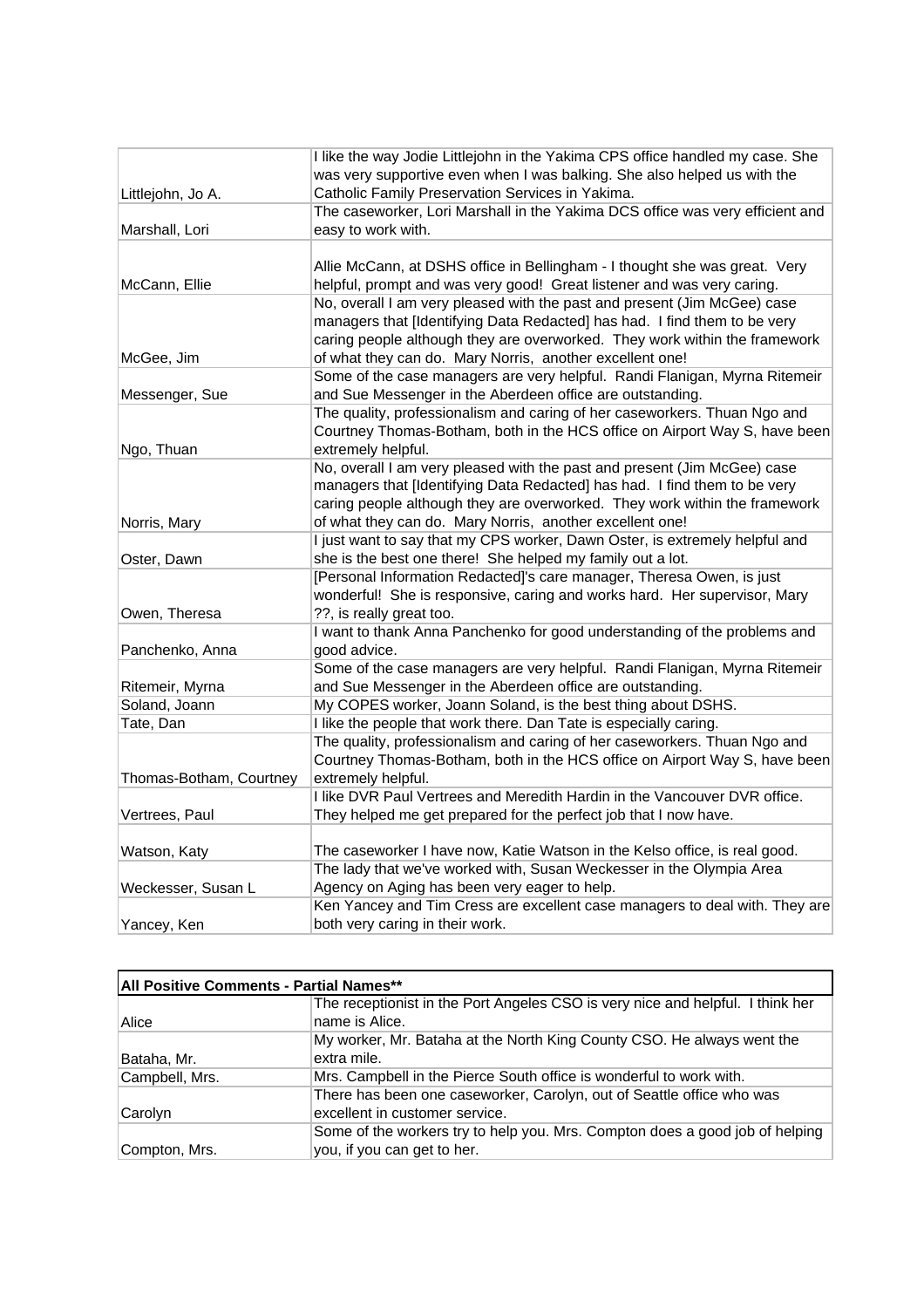|                         | I like the way Jodie Littlejohn in the Yakima CPS office handled my case. She |
|-------------------------|-------------------------------------------------------------------------------|
|                         | was very supportive even when I was balking. She also helped us with the      |
| Littlejohn, Jo A.       | Catholic Family Preservation Services in Yakima.                              |
|                         | The caseworker, Lori Marshall in the Yakima DCS office was very efficient and |
| Marshall, Lori          | easy to work with.                                                            |
|                         |                                                                               |
|                         | Allie McCann, at DSHS office in Bellingham - I thought she was great. Very    |
| McCann, Ellie           | helpful, prompt and was very good! Great listener and was very caring.        |
|                         | No, overall I am very pleased with the past and present (Jim McGee) case      |
|                         | managers that [Identifying Data Redacted] has had. I find them to be very     |
|                         | caring people although they are overworked. They work within the framework    |
| McGee, Jim              | of what they can do. Mary Norris, another excellent one!                      |
|                         | Some of the case managers are very helpful. Randi Flanigan, Myrna Ritemeir    |
| Messenger, Sue          | and Sue Messenger in the Aberdeen office are outstanding.                     |
|                         | The quality, professionalism and caring of her caseworkers. Thuan Ngo and     |
|                         | Courtney Thomas-Botham, both in the HCS office on Airport Way S, have been    |
| Ngo, Thuan              | extremely helpful.                                                            |
|                         | No, overall I am very pleased with the past and present (Jim McGee) case      |
|                         | managers that [Identifying Data Redacted] has had. I find them to be very     |
|                         | caring people although they are overworked. They work within the framework    |
| Norris, Mary            | of what they can do. Mary Norris, another excellent one!                      |
|                         | I just want to say that my CPS worker, Dawn Oster, is extremely helpful and   |
| Oster, Dawn             | she is the best one there! She helped my family out a lot.                    |
|                         | [Personal Information Redacted]'s care manager, Theresa Owen, is just         |
|                         | wonderful! She is responsive, caring and works hard. Her supervisor, Mary     |
| Owen, Theresa           | ??, is really great too.                                                      |
|                         | I want to thank Anna Panchenko for good understanding of the problems and     |
| Panchenko, Anna         | good advice.                                                                  |
|                         | Some of the case managers are very helpful. Randi Flanigan, Myrna Ritemeir    |
| Ritemeir, Myrna         | and Sue Messenger in the Aberdeen office are outstanding.                     |
| Soland, Joann           | My COPES worker, Joann Soland, is the best thing about DSHS.                  |
| Tate, Dan               | I like the people that work there. Dan Tate is especially caring.             |
|                         | The quality, professionalism and caring of her caseworkers. Thuan Ngo and     |
|                         | Courtney Thomas-Botham, both in the HCS office on Airport Way S, have been    |
| Thomas-Botham, Courtney | extremely helpful.                                                            |
|                         | I like DVR Paul Vertrees and Meredith Hardin in the Vancouver DVR office.     |
| Vertrees, Paul          | They helped me get prepared for the perfect job that I now have.              |
|                         |                                                                               |
| Watson, Katy            | The caseworker I have now, Katie Watson in the Kelso office, is real good.    |
|                         | The lady that we've worked with, Susan Weckesser in the Olympia Area          |
| Weckesser, Susan L      | Agency on Aging has been very eager to help.                                  |
|                         | Ken Yancey and Tim Cress are excellent case managers to deal with. They are   |
| Yancey, Ken             | both very caring in their work.                                               |

| All Positive Comments - Partial Names** |                                                                                |  |
|-----------------------------------------|--------------------------------------------------------------------------------|--|
|                                         | The receptionist in the Port Angeles CSO is very nice and helpful. I think her |  |
| Alice                                   | name is Alice.                                                                 |  |
|                                         | My worker, Mr. Bataha at the North King County CSO. He always went the         |  |
| Bataha, Mr.                             | extra mile.                                                                    |  |
| Campbell, Mrs.                          | Mrs. Campbell in the Pierce South office is wonderful to work with.            |  |
|                                         | There has been one caseworker, Carolyn, out of Seattle office who was          |  |
| Carolyn                                 | excellent in customer service.                                                 |  |
|                                         | Some of the workers try to help you. Mrs. Compton does a good job of helping   |  |
| Compton, Mrs.                           | you, if you can get to her.                                                    |  |